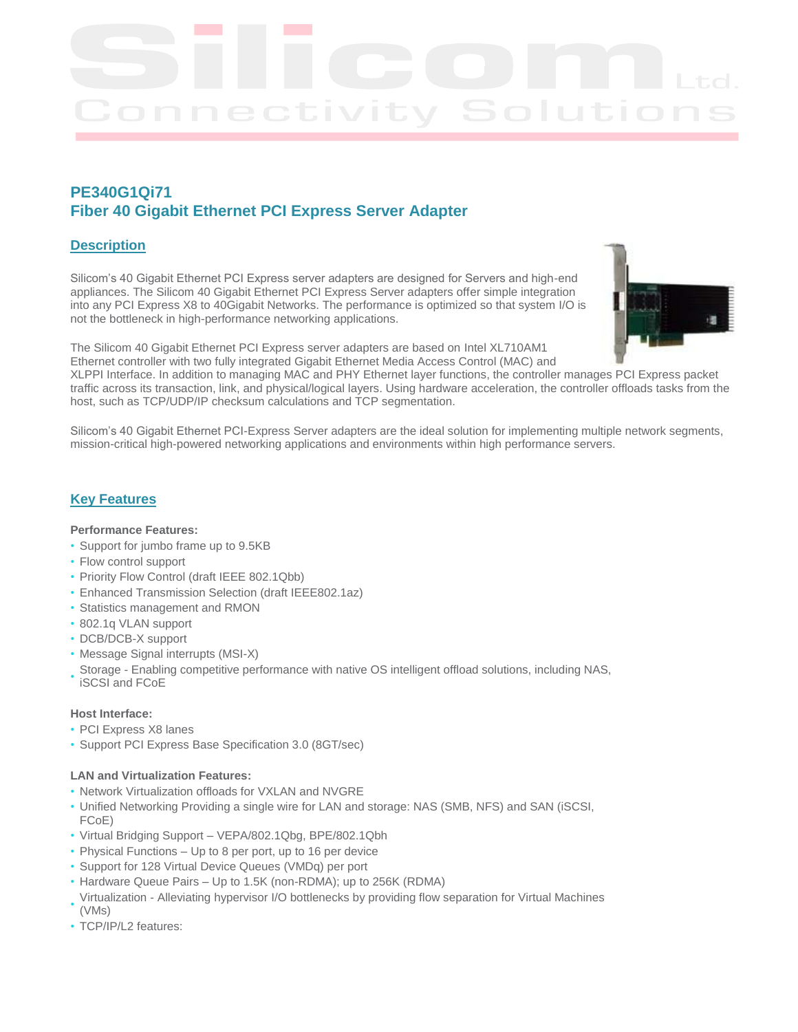# **PE340G1Qi71 Fiber 40 Gigabit Ethernet PCI Express Server Adapter**

## **Description**

Silicom's 40 Gigabit Ethernet PCI Express server adapters are designed for Servers and high-end appliances. The Silicom 40 Gigabit Ethernet PCI Express Server adapters offer simple integration into any PCI Express X8 to 40Gigabit Networks. The performance is optimized so that system I/O is not the bottleneck in high-performance networking applications.



The Silicom 40 Gigabit Ethernet PCI Express server adapters are based on Intel XL710AM1 Ethernet controller with two fully integrated Gigabit Ethernet Media Access Control (MAC) and

XLPPI Interface. In addition to managing MAC and PHY Ethernet layer functions, the controller manages PCI Express packet traffic across its transaction, link, and physical/logical layers. Using hardware acceleration, the controller offloads tasks from the host, such as TCP/UDP/IP checksum calculations and TCP segmentation.

Silicom's 40 Gigabit Ethernet PCI-Express Server adapters are the ideal solution for implementing multiple network segments, mission-critical high-powered networking applications and environments within high performance servers.

## **Key Features**

#### **Performance Features:**

- Support for jumbo frame up to 9.5KB
- Flow control support
- Priority Flow Control (draft IEEE 802.1Qbb)
- Enhanced Transmission Selection (draft IEEE802.1az)
- Statistics management and RMON
- 802.1q VLAN support
- DCB/DCB-X support
- Message Signal interrupts (MSI-X)
- Storage Enabling competitive performance with native OS intelligent offload solutions, including NAS, iSCSI and FCoE

### **Host Interface:**

- PCI Express X8 lanes
- Support PCI Express Base Specification 3.0 (8GT/sec)

#### **LAN and Virtualization Features:**

- Network Virtualization offloads for VXLAN and NVGRE
- Unified Networking Providing a single wire for LAN and storage: NAS (SMB, NFS) and SAN (iSCSI, FCoE)
- Virtual Bridging Support VEPA/802.1Qbg, BPE/802.1Qbh
- Physical Functions Up to 8 per port, up to 16 per device
- Support for 128 Virtual Device Queues (VMDq) per port
- Hardware Queue Pairs Up to 1.5K (non-RDMA); up to 256K (RDMA)
- Virtualization Alleviating hypervisor I/O bottlenecks by providing flow separation for Virtual Machines  $(VMs)$
- TCP/IP/L2 features: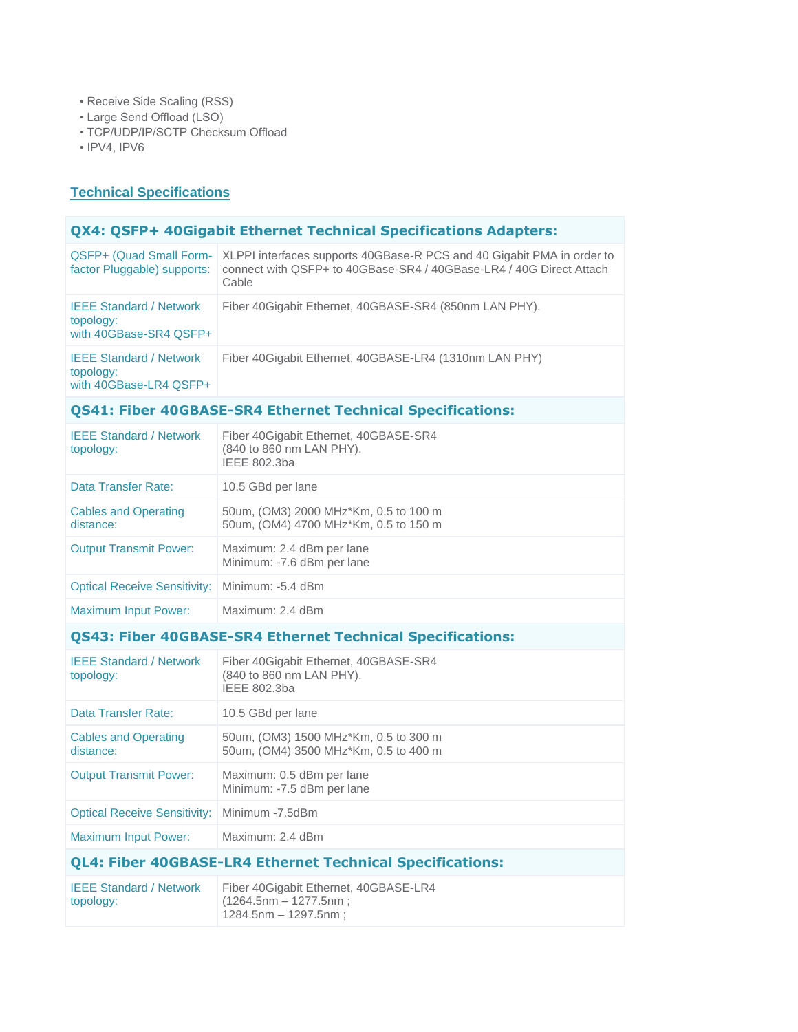- Receive Side Scaling (RSS)
- Large Send Offload (LSO)
- TCP/UDP/IP/SCTP Checksum Offload
- IPV4, IPV6

## **Technical Specifications**

## **QX4: QSFP+ 40Gigabit Ethernet Technical Specifications Adapters:**

| factor Pluggable) supports:                                           | QSFP+ (Quad Small Form-   XLPPI interfaces supports 40GBase-R PCS and 40 Gigabit PMA in order to<br>connect with QSFP+ to 40GBase-SR4 / 40GBase-LR4 / 40G Direct Attach<br>Cable |
|-----------------------------------------------------------------------|----------------------------------------------------------------------------------------------------------------------------------------------------------------------------------|
| <b>IEEE Standard / Network</b><br>topology:<br>with 40GBase-SR4 QSFP+ | Fiber 40 Gigabit Ethernet, 40 GBASE-SR4 (850 nm LAN PHY).                                                                                                                        |
| <b>IEEE Standard / Network</b><br>topology:<br>with 40GBase-LR4 QSFP+ | Fiber 40 Gigabit Ethernet, 40 GBASE-LR4 (1310 nm LAN PHY)                                                                                                                        |

# **QS41: Fiber 40GBASE-SR4 Ethernet Technical Specifications:**

| <b>IEEE Standard / Network</b><br>topology: | Fiber 40 Gigabit Ethernet, 40 GBASE-SR4<br>(840 to 860 nm LAN PHY).<br>IEEE 802.3ba |
|---------------------------------------------|-------------------------------------------------------------------------------------|
| Data Transfer Rate:                         | 10.5 GBd per lane                                                                   |
| <b>Cables and Operating</b><br>distance:    | 50um, (OM3) 2000 MHz*Km, 0.5 to 100 m<br>50um, (OM4) 4700 MHz*Km, 0.5 to 150 m      |
| <b>Output Transmit Power:</b>               | Maximum: 2.4 dBm per lane<br>Minimum: -7.6 dBm per lane                             |
| <b>Optical Receive Sensitivity:</b>         | Minimum: -5.4 dBm                                                                   |
| <b>Maximum Input Power:</b>                 | Maximum: 2.4 dBm                                                                    |

# **QS43: Fiber 40GBASE-SR4 Ethernet Technical Specifications:**

| <b>QL4: Fiber 40GBASE-LR4 Ethernet Technical Specifications:</b> |                                                                                   |  |
|------------------------------------------------------------------|-----------------------------------------------------------------------------------|--|
| <b>Maximum Input Power:</b>                                      | Maximum: 2.4 dBm                                                                  |  |
| <b>Optical Receive Sensitivity:</b>                              | Minimum -7.5dBm                                                                   |  |
| <b>Output Transmit Power:</b>                                    | Maximum: 0.5 dBm per lane<br>Minimum: -7.5 dBm per lane                           |  |
| <b>Cables and Operating</b><br>distance:                         | 50um, (OM3) 1500 MHz*Km, 0.5 to 300 m<br>50um, (OM4) 3500 MHz*Km, 0.5 to 400 m    |  |
| Data Transfer Rate:                                              | 10.5 GBd per lane                                                                 |  |
| <b>IEEE Standard / Network</b><br>topology:                      | Fiber 40Gigabit Ethernet, 40GBASE-SR4<br>(840 to 860 nm LAN PHY).<br>IEEE 802.3ba |  |
|                                                                  |                                                                                   |  |

| <b>IEEE Standard / Network</b> | Fiber 40 Gigabit Ethernet, 40 GBASE-LR4 |
|--------------------------------|-----------------------------------------|
| topology:                      | $(1264.5$ nm — 1277.5nm;                |
|                                | $1284.5$ nm – 1297.5nm ;                |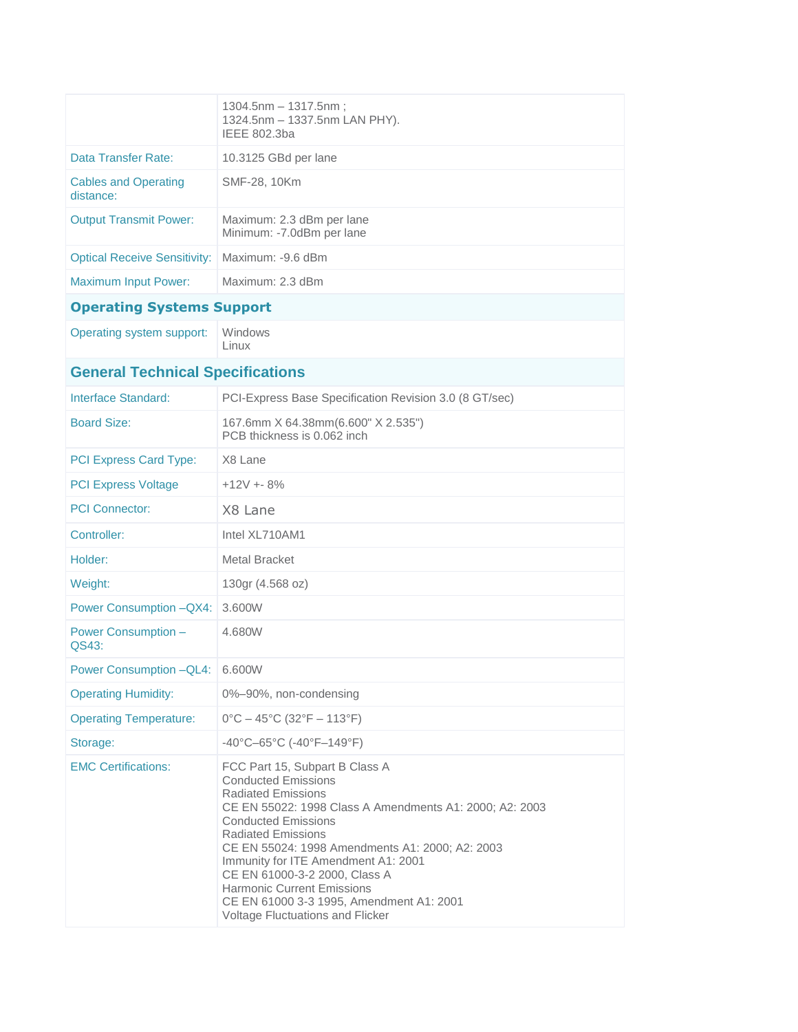|                                          | $1304.5$ nm $- 1317.5$ nm :<br>1324.5nm - 1337.5nm LAN PHY).<br>IEEE 802.3ba                                                                                                                                                                                                                                                                                                                                                                                    |  |
|------------------------------------------|-----------------------------------------------------------------------------------------------------------------------------------------------------------------------------------------------------------------------------------------------------------------------------------------------------------------------------------------------------------------------------------------------------------------------------------------------------------------|--|
| Data Transfer Rate:                      | 10.3125 GBd per lane                                                                                                                                                                                                                                                                                                                                                                                                                                            |  |
| <b>Cables and Operating</b><br>distance: | SMF-28, 10Km                                                                                                                                                                                                                                                                                                                                                                                                                                                    |  |
| <b>Output Transmit Power:</b>            | Maximum: 2.3 dBm per lane<br>Minimum: -7.0dBm per lane                                                                                                                                                                                                                                                                                                                                                                                                          |  |
| <b>Optical Receive Sensitivity:</b>      | Maximum: -9.6 dBm                                                                                                                                                                                                                                                                                                                                                                                                                                               |  |
| <b>Maximum Input Power:</b>              | Maximum: 2.3 dBm                                                                                                                                                                                                                                                                                                                                                                                                                                                |  |
| <b>Operating Systems Support</b>         |                                                                                                                                                                                                                                                                                                                                                                                                                                                                 |  |
| Operating system support:                | Windows<br>Linux                                                                                                                                                                                                                                                                                                                                                                                                                                                |  |
| <b>General Technical Specifications</b>  |                                                                                                                                                                                                                                                                                                                                                                                                                                                                 |  |
| Interface Standard:                      | PCI-Express Base Specification Revision 3.0 (8 GT/sec)                                                                                                                                                                                                                                                                                                                                                                                                          |  |
| <b>Board Size:</b>                       | 167.6mm X 64.38mm(6.600" X 2.535")<br>PCB thickness is 0.062 inch                                                                                                                                                                                                                                                                                                                                                                                               |  |
| <b>PCI Express Card Type:</b>            | X8 Lane                                                                                                                                                                                                                                                                                                                                                                                                                                                         |  |
| <b>PCI Express Voltage</b>               | $+12V + 8%$                                                                                                                                                                                                                                                                                                                                                                                                                                                     |  |
| <b>PCI Connector:</b>                    | X8 Lane                                                                                                                                                                                                                                                                                                                                                                                                                                                         |  |
| Controller:                              | Intel XL710AM1                                                                                                                                                                                                                                                                                                                                                                                                                                                  |  |
| Holder:                                  | Metal Bracket                                                                                                                                                                                                                                                                                                                                                                                                                                                   |  |
| Weight:                                  | 130gr (4.568 oz)                                                                                                                                                                                                                                                                                                                                                                                                                                                |  |
| Power Consumption - QX4:                 | 3.600W                                                                                                                                                                                                                                                                                                                                                                                                                                                          |  |
| <b>Power Consumption -</b><br>QS43:      | 4.680W                                                                                                                                                                                                                                                                                                                                                                                                                                                          |  |
| Power Consumption - QL4: 6.600W          |                                                                                                                                                                                                                                                                                                                                                                                                                                                                 |  |
| <b>Operating Humidity:</b>               | 0%-90%, non-condensing                                                                                                                                                                                                                                                                                                                                                                                                                                          |  |
| <b>Operating Temperature:</b>            | $0^{\circ}$ C – 45 $^{\circ}$ C (32 $^{\circ}$ F – 113 $^{\circ}$ F)                                                                                                                                                                                                                                                                                                                                                                                            |  |
| Storage:                                 | $-40^{\circ}$ C $-65^{\circ}$ C ( $-40^{\circ}$ F $-149^{\circ}$ F)                                                                                                                                                                                                                                                                                                                                                                                             |  |
| <b>EMC Certifications:</b>               | FCC Part 15, Subpart B Class A<br><b>Conducted Emissions</b><br><b>Radiated Emissions</b><br>CE EN 55022: 1998 Class A Amendments A1: 2000; A2: 2003<br><b>Conducted Emissions</b><br><b>Radiated Emissions</b><br>CE EN 55024: 1998 Amendments A1: 2000; A2: 2003<br>Immunity for ITE Amendment A1: 2001<br>CE EN 61000-3-2 2000, Class A<br><b>Harmonic Current Emissions</b><br>CE EN 61000 3-3 1995, Amendment A1: 2001<br>Voltage Fluctuations and Flicker |  |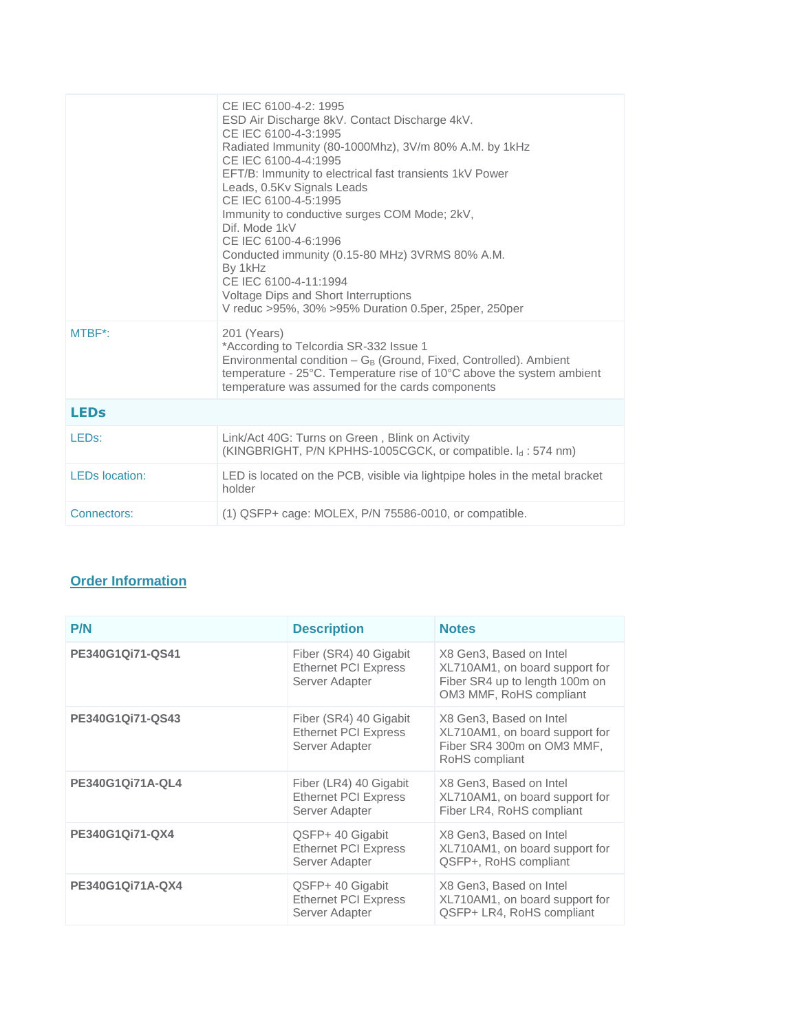|                       | CE IEC 6100-4-2: 1995<br>ESD Air Discharge 8kV. Contact Discharge 4kV.<br>CE IEC 6100-4-3:1995<br>Radiated Immunity (80-1000Mhz), 3V/m 80% A.M. by 1kHz<br>CE IEC 6100-4-4:1995<br>EFT/B: Immunity to electrical fast transients 1kV Power<br>Leads, 0.5Kv Signals Leads<br>CE IEC 6100-4-5:1995<br>Immunity to conductive surges COM Mode; 2kV,<br>Dif. Mode 1kV<br>CE IEC 6100-4-6:1996<br>Conducted immunity (0.15-80 MHz) 3VRMS 80% A.M.<br>By 1kHz<br>CE IEC 6100-4-11:1994<br>Voltage Dips and Short Interruptions<br>V reduc >95%, 30% >95% Duration 0.5per, 25per, 250per |
|-----------------------|-----------------------------------------------------------------------------------------------------------------------------------------------------------------------------------------------------------------------------------------------------------------------------------------------------------------------------------------------------------------------------------------------------------------------------------------------------------------------------------------------------------------------------------------------------------------------------------|
| MTBF*:                | 201 (Years)<br>*According to Telcordia SR-332 Issue 1<br>Environmental condition $-G_B$ (Ground, Fixed, Controlled). Ambient<br>temperature - 25°C. Temperature rise of 10°C above the system ambient<br>temperature was assumed for the cards components                                                                                                                                                                                                                                                                                                                         |
| <b>LEDs</b>           |                                                                                                                                                                                                                                                                                                                                                                                                                                                                                                                                                                                   |
| LED <sub>s</sub> :    | Link/Act 40G: Turns on Green, Blink on Activity<br>(KINGBRIGHT, P/N KPHHS-1005CGCK, or compatible. I <sub>d</sub> : 574 nm)                                                                                                                                                                                                                                                                                                                                                                                                                                                       |
| <b>LEDs</b> location: | LED is located on the PCB, visible via lightpipe holes in the metal bracket<br>holder                                                                                                                                                                                                                                                                                                                                                                                                                                                                                             |
| Connectors:           | $(1)$ QSFP+ cage: MOLEX, P/N 75586-0010, or compatible.                                                                                                                                                                                                                                                                                                                                                                                                                                                                                                                           |

# **Order Information**

| <b>P/N</b>       | <b>Description</b>                                                      | <b>Notes</b>                                                                                                           |
|------------------|-------------------------------------------------------------------------|------------------------------------------------------------------------------------------------------------------------|
| PE340G1Qi71-QS41 | Fiber (SR4) 40 Gigabit<br><b>Ethernet PCI Express</b><br>Server Adapter | X8 Gen3, Based on Intel<br>XL710AM1, on board support for<br>Fiber SR4 up to length 100m on<br>OM3 MMF, RoHS compliant |
| PE340G1Qi71-QS43 | Fiber (SR4) 40 Gigabit<br><b>Ethernet PCI Express</b><br>Server Adapter | X8 Gen3, Based on Intel<br>XL710AM1, on board support for<br>Fiber SR4 300m on OM3 MMF,<br>RoHS compliant              |
| PE340G1Qi71A-QL4 | Fiber (LR4) 40 Gigabit<br><b>Ethernet PCI Express</b><br>Server Adapter | X8 Gen3, Based on Intel<br>XL710AM1, on board support for<br>Fiber LR4, RoHS compliant                                 |
| PE340G1Qi71-QX4  | QSFP+ 40 Gigabit<br><b>Ethernet PCI Express</b><br>Server Adapter       | X8 Gen3, Based on Intel<br>XL710AM1, on board support for<br>QSFP+, RoHS compliant                                     |
| PE340G1Qi71A-QX4 | QSFP+ 40 Gigabit<br><b>Ethernet PCI Express</b><br>Server Adapter       | X8 Gen3, Based on Intel<br>XL710AM1, on board support for<br>QSFP+ LR4, RoHS compliant                                 |